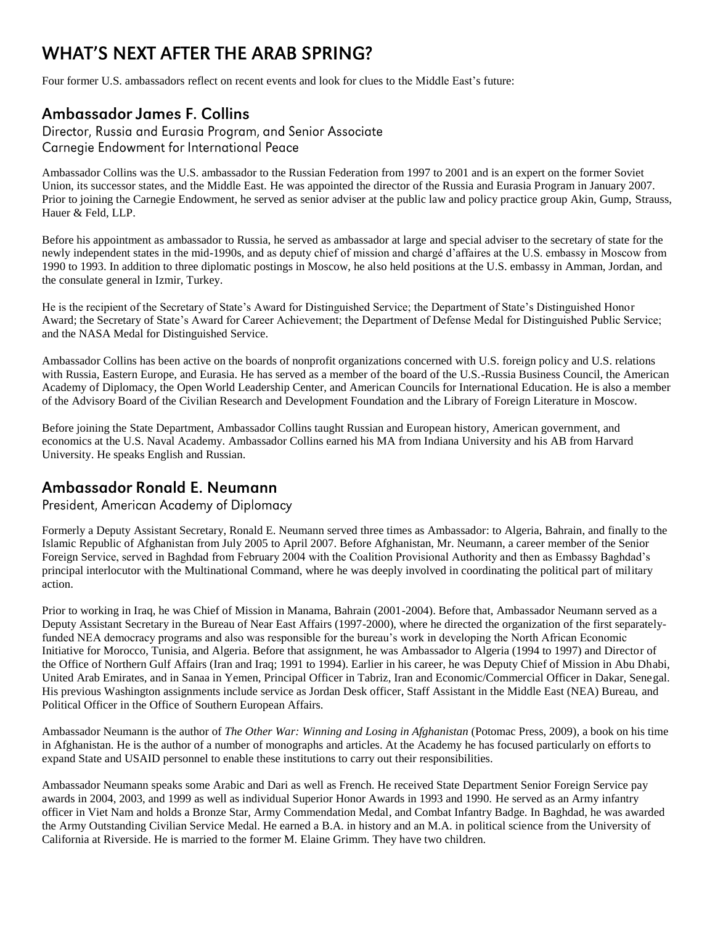# **WHAT'S NEXT AFTER THE ARAB SPRING?**

Four former U.S. ambassadors reflect on recent events and look for clues to the Middle East's future:

## **Ambassador James F. Collins**

Director, Russia and Eurasia Program, and Senior Associate Carnegie Endowment for International Peace

Ambassador Collins was the U.S. ambassador to the Russian Federation from 1997 to 2001 and is an expert on the former Soviet Union, its successor states, and the Middle East. He was appointed the director of the Russia and Eurasia Program in January 2007. Prior to joining the Carnegie Endowment, he served as senior adviser at the public law and policy practice group Akin, Gump, Strauss, Hauer & Feld, LLP.

Before his appointment as ambassador to Russia, he served as ambassador at large and special adviser to the secretary of state for the newly independent states in the mid-1990s, and as deputy chief of mission and chargé d'affaires at the U.S. embassy in Moscow from 1990 to 1993. In addition to three diplomatic postings in Moscow, he also held positions at the U.S. embassy in Amman, Jordan, and the consulate general in Izmir, Turkey.

He is the recipient of the Secretary of State's Award for Distinguished Service; the Department of State's Distinguished Honor Award; the Secretary of State's Award for Career Achievement; the Department of Defense Medal for Distinguished Public Service; and the NASA Medal for Distinguished Service.

Ambassador Collins has been active on the boards of nonprofit organizations concerned with U.S. foreign policy and U.S. relations with Russia, Eastern Europe, and Eurasia. He has served as a member of the board of the U.S.-Russia Business Council, the American Academy of Diplomacy, the Open World Leadership Center, and American Councils for International Education. He is also a member of the Advisory Board of the Civilian Research and Development Foundation and the Library of Foreign Literature in Moscow.

Before joining the State Department, Ambassador Collins taught Russian and European history, American government, and economics at the U.S. Naval Academy. Ambassador Collins earned his MA from Indiana University and his AB from Harvard University. He speaks English and Russian.

#### Ambassador Ronald E. Neumann

President, American Academy of Diplomacy

Formerly a Deputy Assistant Secretary, Ronald E. Neumann served three times as Ambassador: to Algeria, Bahrain, and finally to the Islamic Republic of Afghanistan from July 2005 to April 2007. Before Afghanistan, Mr. Neumann, a career member of the Senior Foreign Service, served in Baghdad from February 2004 with the Coalition Provisional Authority and then as Embassy Baghdad's principal interlocutor with the Multinational Command, where he was deeply involved in coordinating the political part of military action.

Prior to working in Iraq, he was Chief of Mission in Manama, Bahrain (2001-2004). Before that, Ambassador Neumann served as a Deputy Assistant Secretary in the Bureau of Near East Affairs (1997-2000), where he directed the organization of the first separatelyfunded NEA democracy programs and also was responsible for the bureau's work in developing the North African Economic Initiative for Morocco, Tunisia, and Algeria. Before that assignment, he was Ambassador to Algeria (1994 to 1997) and Director of the Office of Northern Gulf Affairs (Iran and Iraq; 1991 to 1994). Earlier in his career, he was Deputy Chief of Mission in Abu Dhabi, United Arab Emirates, and in Sanaa in Yemen, Principal Officer in Tabriz, Iran and Economic/Commercial Officer in Dakar, Senegal. His previous Washington assignments include service as Jordan Desk officer, Staff Assistant in the Middle East (NEA) Bureau, and Political Officer in the Office of Southern European Affairs.

Ambassador Neumann is the author of *The Other War: Winning and Losing in Afghanistan* (Potomac Press, 2009), a book on his time in Afghanistan. He is the author of a number of monographs and articles. At the Academy he has focused particularly on efforts to expand State and USAID personnel to enable these institutions to carry out their responsibilities.

Ambassador Neumann speaks some Arabic and Dari as well as French. He received State Department Senior Foreign Service pay awards in 2004, 2003, and 1999 as well as individual Superior Honor Awards in 1993 and 1990. He served as an Army infantry officer in Viet Nam and holds a Bronze Star, Army Commendation Medal, and Combat Infantry Badge. In Baghdad, he was awarded the Army Outstanding Civilian Service Medal. He earned a B.A. in history and an M.A. in political science from the University of California at Riverside. He is married to the former M. Elaine Grimm. They have two children.